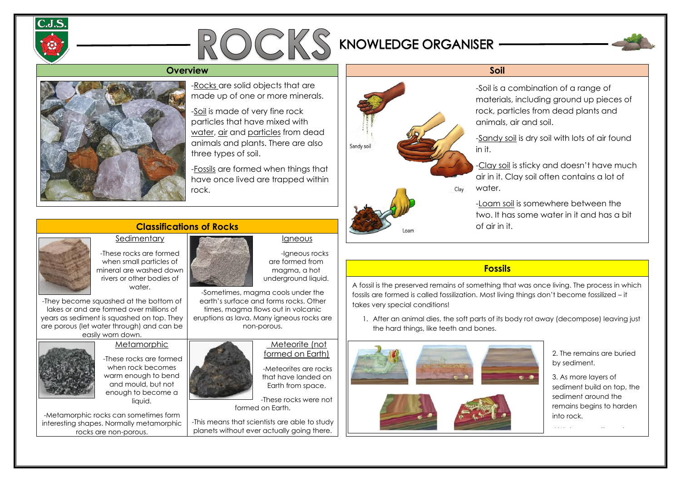## **Classifications of Rocks Sedimentary**



-These rocks are formed when small particles of mineral are washed down rivers or other bodies of water.

-They become squashed at the bottom of lakes or and are formed over millions of years as sediment is squashed on top. They are porous (let water through) and can be easily worn down.

## **Metamorphic**



Igneous

-Igneous rocks

are formed from magma, a hot underground liquid.

-Sometimes, magma cools under the earth's surface and forms rocks. Other times, magma flows out in volcanic eruptions as lava. Many igneous rocks are non-porous.

-These rocks are formed when rock becomes warm enough to bend and mould, but not enough to become a liquid.

-Metamorphic rocks can sometimes form interesting shapes. Normally metamorphic rocks are non-porous.



#### Meteorite (not formed on Earth)





-Meteorites are rocks that have landed on Earth from space.



# so<mark>Fossils</mark> will find that there are different that the that the

-These rocks were not formed on Earth.

-This means that scientists are able to study planets without ever actually going there.



layers with different features. With different features with different features. The different features of the<br>Experiment features and different features of the different features of the different features. The different A fossil is the preserved remains of something that was once living. The process in which fossils are formed is called fossilization. Most living things don't become fossilized – it takes very special conditions!

### -Rocks are solid objects that are made up of one or more minerals.

-Soil is made of very fine rock particles that have mixed with water, air and particles from dead animals and plants. There are also three types of soil.

-Fossils are formed when things that have once lived are trapped within rock.

-Soil is a combination of a range of materials, including ground up pieces of rock, particles from dead plants and

-Sandy soil is dry soil with lots of air found

-Clay soil is sticky and doesn't have much air in it. Clay soil often contains a lot of

-Loam soil is somewhere between the two. It has some water in it and has a bit



1. After an animal dies, the soft parts of its body rot away (decompose) leaving just the hard things, like teeth and bones.







2. The remains are buried by sediment.

3. As more layers of sediment build on top, the sediment around the remains begins to harden into rock.

the bone – a fossil!